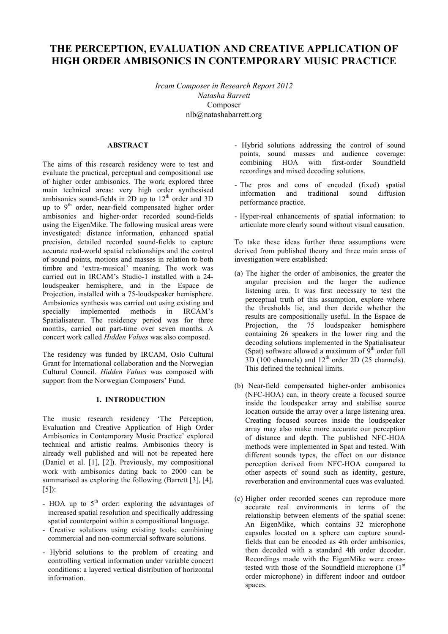# **THE PERCEPTION, EVALUATION AND CREATIVE APPLICATION OF HIGH ORDER AMBISONICS IN CONTEMPORARY MUSIC PRACTICE**

*Ircam Composer in Research Report 2012 Natasha Barrett* Composer nlb@natashabarrett.org

## **ABSTRACT**

The aims of this research residency were to test and evaluate the practical, perceptual and compositional use of higher order ambisonics. The work explored three main technical areas: very high order synthesised ambisonics sound-fields in  $2D$  up to  $12<sup>th</sup>$  order and  $3D$ up to 9<sup>th</sup> order, near-field compensated higher order ambisonics and higher-order recorded sound-fields using the EigenMike. The following musical areas were investigated: distance information, enhanced spatial precision, detailed recorded sound-fields to capture accurate real-world spatial relationships and the control of sound points, motions and masses in relation to both timbre and 'extra-musical' meaning. The work was carried out in IRCAM's Studio-1 installed with a 24 loudspeaker hemisphere, and in the Espace de Projection, installed with a 75-loudspeaker hemisphere. Ambsionics synthesis was carried out using existing and specially implemented methods in IRCAM's Spatialisateur. The residency period was for three months, carried out part-time over seven months. A concert work called *Hidden Values* was also composed.

The residency was funded by IRCAM, Oslo Cultural Grant for International collaboration and the Norwegian Cultural Council. *Hidden Values* was composed with support from the Norwegian Composers' Fund.

#### **1. INTRODUCTION**

The music research residency 'The Perception, Evaluation and Creative Application of High Order Ambisonics in Contemporary Music Practice' explored technical and artistic realms. Ambisonics theory is already well published and will not be repeated here (Daniel et al. [1], [2]). Previously, my compositional work with ambisonics dating back to 2000 can be summarised as exploring the following (Barrett [3], [4],  $[5]$ :

- HOA up to  $5<sup>th</sup>$  order: exploring the advantages of increased spatial resolution and specifically addressing spatial counterpoint within a compositional language.
- Creative solutions using existing tools: combining commercial and non-commercial software solutions.
- Hybrid solutions to the problem of creating and controlling vertical information under variable concert conditions: a layered vertical distribution of horizontal information.
- Hybrid solutions addressing the control of sound points, sound masses and audience coverage: combining HOA with first-order Soundfield recordings and mixed decoding solutions.
- The pros and cons of encoded (fixed) spatial information and traditional sound diffusion performance practice.
- Hyper-real enhancements of spatial information: to articulate more clearly sound without visual causation.

To take these ideas further three assumptions were derived from published theory and three main areas of investigation were established:

- (a) The higher the order of ambisonics, the greater the angular precision and the larger the audience listening area. It was first necessary to test the perceptual truth of this assumption, explore where the thresholds lie, and then decide whether the results are compositionally useful. In the Espace de Projection, the 75 loudspeaker hemisphere containing 26 speakers in the lower ring and the decoding solutions implemented in the Spatialisateur (Spat) software allowed a maximum of  $9<sup>th</sup>$  order full  $3D$  (100 channels) and  $12<sup>th</sup>$  order 2D (25 channels). This defined the technical limits.
- (b) Near-field compensated higher-order ambisonics (NFC-HOA) can, in theory create a focused source inside the loudspeaker array and stabilise source location outside the array over a large listening area. Creating focused sources inside the loudspeaker array may also make more accurate our perception of distance and depth. The published NFC-HOA methods were implemented in Spat and tested. With different sounds types, the effect on our distance perception derived from NFC-HOA compared to other aspects of sound such as identity, gesture, reverberation and environmental cues was evaluated.
- (c) Higher order recorded scenes can reproduce more accurate real environments in terms of the relationship between elements of the spatial scene: An EigenMike, which contains 32 microphone capsules located on a sphere can capture soundfields that can be encoded as 4th order ambisonics, then decoded with a standard 4th order decoder. Recordings made with the EigenMike were crosstested with those of the Soundfield microphone  $(1<sup>st</sup>$ order microphone) in different indoor and outdoor spaces.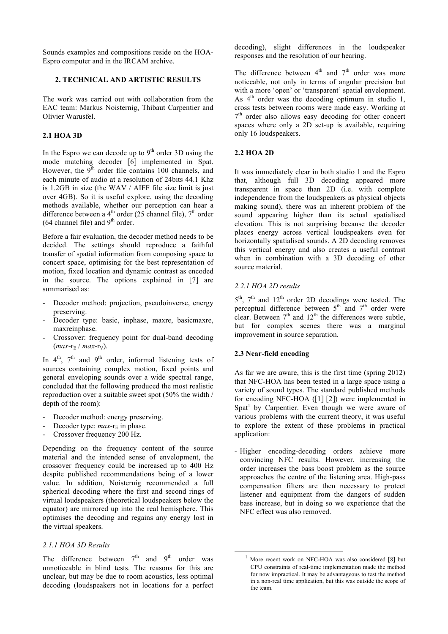Sounds examples and compositions reside on the HOA-Espro computer and in the IRCAM archive.

## **2. TECHNICAL AND ARTISTIC RESULTS**

The work was carried out with collaboration from the EAC team: Markus Noisternig, Thibaut Carpentier and Olivier Warusfel.

## **2.1 HOA 3D**

In the Espro we can decode up to  $9<sup>th</sup>$  order 3D using the mode matching decoder [6] implemented in Spat. However, the  $9<sup>th</sup>$  order file contains 100 channels, and each minute of audio at a resolution of 24bits 44.1 Khz is 1.2GB in size (the WAV / AIFF file size limit is just over 4GB). So it is useful explore, using the decoding methods available, whether our perception can hear a difference between a  $4<sup>th</sup>$  order (25 channel file),  $7<sup>th</sup>$  order  $(64 \text{ channel file})$  and  $9^{\text{th}}$  order.

Before a fair evaluation, the decoder method needs to be decided. The settings should reproduce a faithful transfer of spatial information from composing space to concert space, optimising for the best representation of motion, fixed location and dynamic contrast as encoded in the source. The options explained in [7] are summarised as:

- Decoder method: projection, pseudoinverse, energy preserving.
- Decoder type: basic, inphase, maxre, basicmaxre, maxreinphase.
- Crossover: frequency point for dual-band decoding  $(max-r_E / max-r_V)$ .

In  $4<sup>th</sup>$ ,  $7<sup>th</sup>$  and  $9<sup>th</sup>$  order, informal listening tests of sources containing complex motion, fixed points and general enveloping sounds over a wide spectral range, concluded that the following produced the most realistic reproduction over a suitable sweet spot (50% the width / depth of the room):

- Decoder method: energy preserving.
- Decoder type:  $max-r<sub>E</sub>$  in phase.
- Crossover frequency 200 Hz.

Depending on the frequency content of the source material and the intended sense of envelopment, the crossover frequency could be increased up to 400 Hz despite published recommendations being of a lower value. In addition, Noisternig recommended a full spherical decoding where the first and second rings of virtual loudspeakers (theoretical loudspeakers below the equator) are mirrored up into the real hemisphere. This optimises the decoding and regains any energy lost in the virtual speakers.

#### *2.1.1 HOA 3D Results*

The difference between  $7<sup>th</sup>$  and  $9<sup>th</sup>$  order was unnoticeable in blind tests. The reasons for this are unclear, but may be due to room acoustics, less optimal decoding (loudspeakers not in locations for a perfect decoding), slight differences in the loudspeaker responses and the resolution of our hearing.

The difference between  $4<sup>th</sup>$  and  $7<sup>th</sup>$  order was more noticeable, not only in terms of angular precision but with a more 'open' or 'transparent' spatial envelopment. As  $4<sup>th</sup>$  order was the decoding optimum in studio 1, cross tests between rooms were made easy. Working at  $7<sup>th</sup>$  order also allows easy decoding for other concert spaces where only a 2D set-up is available, requiring only 16 loudspeakers.

#### **2.2 HOA 2D**

It was immediately clear in both studio 1 and the Espro that, although full 3D decoding appeared more transparent in space than 2D (i.e. with complete independence from the loudspeakers as physical objects making sound), there was an inherent problem of the sound appearing higher than its actual spatialised elevation. This is not surprising because the decoder places energy across vertical loudspeakers even for horizontally spatialised sounds. A 2D decoding removes this vertical energy and also creates a useful contrast when in combination with a 3D decoding of other source material.

## *2.2.1 HOA 2D results*

 $5<sup>th</sup>$ ,  $7<sup>th</sup>$  and  $12<sup>th</sup>$  order 2D decodings were tested. The perceptual difference between  $5<sup>th</sup>$  and  $7<sup>th</sup>$  order were clear. Between  $7<sup>th</sup>$  and  $12<sup>th</sup>$  the differences were subtle, but for complex scenes there was a marginal improvement in source separation.

## **2.3 Near-field encoding**

As far we are aware, this is the first time (spring 2012) that NFC-HOA has been tested in a large space using a variety of sound types. The standard published methods for encoding NFC-HOA ([1] [2]) were implemented in Spat<sup>1</sup> by Carpentier. Even though we were aware of various problems with the current theory, it was useful to explore the extent of these problems in practical application:

- Higher encoding-decoding orders achieve more convincing NFC results. However, increasing the order increases the bass boost problem as the source approaches the centre of the listening area. High-pass compensation filters are then necessary to protect listener and equipment from the dangers of sudden bass increase, but in doing so we experience that the NFC effect was also removed.

More recent work on NFC-HOA was also considered [8] but CPU constraints of real-time implementation made the method for now impractical. It may be advantageous to test the method in a non-real time application, but this was outside the scope of the team.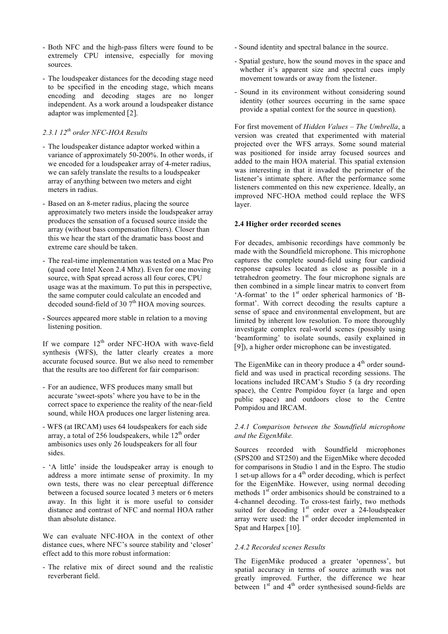- Both NFC and the high-pass filters were found to be extremely CPU intensive, especially for moving sources.
- The loudspeaker distances for the decoding stage need to be specified in the encoding stage, which means encoding and decoding stages are no longer independent. As a work around a loudspeaker distance adaptor was implemented [2].

## *2.3.1 12th order NFC-HOA Results*

- The loudspeaker distance adaptor worked within a variance of approximately 50-200%. In other words, if we encoded for a loudspeaker array of 4-meter radius, we can safely translate the results to a loudspeaker array of anything between two meters and eight meters in radius.
- Based on an 8-meter radius, placing the source approximately two meters inside the loudspeaker array produces the sensation of a focused source inside the array (without bass compensation filters). Closer than this we hear the start of the dramatic bass boost and extreme care should be taken.
- The real-time implementation was tested on a Mac Pro (quad core Intel Xeon 2.4 Mhz). Even for one moving source, with Spat spread across all four cores, CPU usage was at the maximum. To put this in perspective, the same computer could calculate an encoded and decoded sound-field of 30  $7<sup>th</sup>$  HOA moving sources.
- Sources appeared more stable in relation to a moving listening position.

If we compare  $12<sup>th</sup>$  order NFC-HOA with wave-field synthesis (WFS), the latter clearly creates a more accurate focused source. But we also need to remember that the results are too different for fair comparison:

- For an audience, WFS produces many small but accurate 'sweet-spots' where you have to be in the correct space to experience the reality of the near-field sound, while HOA produces one larger listening area.
- WFS (at IRCAM) uses 64 loudspeakers for each side array, a total of 256 loudspeakers, while  $12<sup>th</sup>$  order ambisonics uses only 26 loudspeakers for all four sides.
- 'A little' inside the loudspeaker array is enough to address a more intimate sense of proximity. In my own tests, there was no clear perceptual difference between a focused source located 3 meters or 6 meters away. In this light it is more useful to consider distance and contrast of NFC and normal HOA rather than absolute distance.

We can evaluate NFC-HOA in the context of other distance cues, where NFC's source stability and 'closer' effect add to this more robust information:

- The relative mix of direct sound and the realistic reverberant field.

- Sound identity and spectral balance in the source.
- Spatial gesture, how the sound moves in the space and whether it's apparent size and spectral cues imply movement towards or away from the listener.
- Sound in its environment without considering sound identity (other sources occurring in the same space provide a spatial context for the source in question).

For first movement of *Hidden Values* – *The Umbrella*, a version was created that experimented with material projected over the WFS arrays. Some sound material was positioned for inside array focused sources and added to the main HOA material. This spatial extension was interesting in that it invaded the perimeter of the listener's intimate sphere. After the performance some listeners commented on this new experience. Ideally, an improved NFC-HOA method could replace the WFS layer.

#### **2.4 Higher order recorded scenes**

For decades, ambisonic recordings have commonly be made with the Soundfield microphone. This microphone captures the complete sound-field using four cardioid response capsules located as close as possible in a tetrahedron geometry. The four microphone signals are then combined in a simple linear matrix to convert from 'A-format' to the 1<sup>st</sup> order spherical harmonics of 'Bformat'. With correct decoding the results capture a sense of space and environmental envelopment, but are limited by inherent low resolution. To more thoroughly investigate complex real-world scenes (possibly using 'beamforming' to isolate sounds, easily explained in [9]), a higher order microphone can be investigated.

The EigenMike can in theory produce a 4<sup>th</sup> order soundfield and was used in practical recording sessions. The locations included IRCAM's Studio 5 (a dry recording space), the Centre Pompidou foyer (a large and open public space) and outdoors close to the Centre Pompidou and IRCAM.

## *2.4.1 Comparison between the Soundfield microphone and the EigenMike.*

Sources recorded with Soundfield microphones (SPS200 and ST250) and the EigenMike where decoded for comparisons in Studio 1 and in the Espro. The studio 1 set-up allows for a  $4<sup>th</sup>$  order decoding, which is perfect for the EigenMike. However, using normal decoding methods 1<sup>st</sup> order ambisonics should be constrained to a 4-channel decoding. To cross-test fairly, two methods suited for decoding  $1<sup>st</sup>$  order over a 24-loudspeaker array were used: the 1<sup>st</sup> order decoder implemented in Spat and Harpex [10].

#### *2.4.2 Recorded scenes Results*

The EigenMike produced a greater 'openness', but spatial accuracy in terms of source azimuth was not greatly improved. Further, the difference we hear between  $1<sup>st</sup>$  and  $4<sup>th</sup>$  order synthesised sound-fields are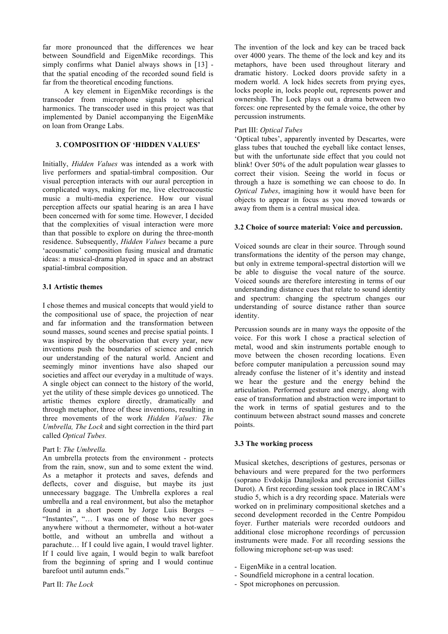far more pronounced that the differences we hear between Soundfield and EigenMike recordings. This simply confirms what Daniel always shows in [13] that the spatial encoding of the recorded sound field is far from the theoretical encoding functions.

A key element in EigenMike recordings is the transcoder from microphone signals to spherical harmonics. The transcoder used in this project was that implemented by Daniel accompanying the EigenMike on loan from Orange Labs.

## **3. COMPOSITION OF 'HIDDEN VALUES'**

Initially, *Hidden Values* was intended as a work with live performers and spatial-timbral composition. Our visual perception interacts with our aural perception in complicated ways, making for me, live electroacoustic music a multi-media experience. How our visual perception affects our spatial hearing is an area I have been concerned with for some time. However, I decided that the complexities of visual interaction were more than that possible to explore on during the three-month residence. Subsequently, *Hidden Values* became a pure 'acousmatic' composition fusing musical and dramatic ideas: a musical-drama played in space and an abstract spatial-timbral composition.

## **3.1 Artistic themes**

I chose themes and musical concepts that would yield to the compositional use of space, the projection of near and far information and the transformation between sound masses, sound scenes and precise spatial points. I was inspired by the observation that every year, new inventions push the boundaries of science and enrich our understanding of the natural world. Ancient and seemingly minor inventions have also shaped our societies and affect our everyday in a multitude of ways. A single object can connect to the history of the world, yet the utility of these simple devices go unnoticed. The artistic themes explore directly, dramatically and through metaphor, three of these inventions, resulting in three movements of the work *Hidden Values: The Umbrella, The Lock* and sight correction in the third part called *Optical Tubes.*

## Part I: *The Umbrella.*

An umbrella protects from the environment - protects from the rain, snow, sun and to some extent the wind. As a metaphor it protects and saves, defends and deflects, cover and disguise, but maybe its just unnecessary baggage. The Umbrella explores a real umbrella and a real environment, but also the metaphor found in a short poem by Jorge Luis Borges – "Instantes", "… I was one of those who never goes anywhere without a thermometer, without a hot-water bottle, and without an umbrella and without a parachute… If I could live again, I would travel lighter. If I could live again, I would begin to walk barefoot from the beginning of spring and I would continue barefoot until autumn ends."

The invention of the lock and key can be traced back over 4000 years. The theme of the lock and key and its metaphors, have been used throughout literary and dramatic history. Locked doors provide safety in a modern world. A lock hides secrets from prying eyes, locks people in, locks people out, represents power and ownership. The Lock plays out a drama between two forces: one represented by the female voice, the other by percussion instruments.

## Part III: *Optical Tubes*

'Optical tubes', apparently invented by Descartes, were glass tubes that touched the eyeball like contact lenses, but with the unfortunate side effect that you could not blink! Over 50% of the adult population wear glasses to correct their vision. Seeing the world in focus or through a haze is something we can choose to do. In *Optical Tubes*, imagining how it would have been for objects to appear in focus as you moved towards or away from them is a central musical idea.

#### **3.2 Choice of source material: Voice and percussion.**

Voiced sounds are clear in their source. Through sound transformations the identity of the person may change, but only in extreme temporal-spectral distortion will we be able to disguise the vocal nature of the source. Voiced sounds are therefore interesting in terms of our understanding distance cues that relate to sound identity and spectrum: changing the spectrum changes our understanding of source distance rather than source identity.

Percussion sounds are in many ways the opposite of the voice. For this work I chose a practical selection of metal, wood and skin instruments portable enough to move between the chosen recording locations. Even before computer manipulation a percussion sound may already confuse the listener of it's identity and instead we hear the gesture and the energy behind the articulation. Performed gesture and energy, along with ease of transformation and abstraction were important to the work in terms of spatial gestures and to the continuum between abstract sound masses and concrete points.

#### **3.3 The working process**

Musical sketches, descriptions of gestures, personas or behaviours and were prepared for the two performers (soprano Evdokija Danajloska and percussionist Gilles Durot). A first recording session took place in IRCAM's studio 5, which is a dry recording space. Materials were worked on in preliminary compositional sketches and a second development recorded in the Centre Pompidou foyer. Further materials were recorded outdoors and additional close microphone recordings of percussion instruments were made. For all recording sessions the following microphone set-up was used:

- EigenMike in a central location.
- Soundfield microphone in a central location.
- Spot microphones on percussion.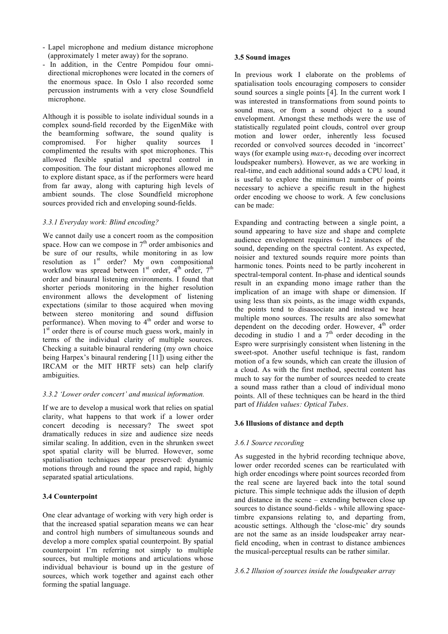- Lapel microphone and medium distance microphone (approximately 1 meter away) for the soprano.
- In addition, in the Centre Pompidou four omnidirectional microphones were located in the corners of the enormous space. In Oslo I also recorded some percussion instruments with a very close Soundfield microphone.

Although it is possible to isolate individual sounds in a complex sound-field recorded by the EigenMike with the beamforming software, the sound quality is compromised. For higher quality sources I complimented the results with spot microphones. This allowed flexible spatial and spectral control in composition. The four distant microphones allowed me to explore distant space, as if the performers were heard from far away, along with capturing high levels of ambient sounds. The close Soundfield microphone sources provided rich and enveloping sound-fields.

## *3.3.1 Everyday work: Blind encoding?*

We cannot daily use a concert room as the composition space. How can we compose in  $7<sup>th</sup>$  order ambisonics and be sure of our results, while monitoring in as low resolution as  $1<sup>st</sup>$  order? My own compositional workflow was spread between  $1<sup>st</sup>$  order,  $4<sup>th</sup>$  order,  $7<sup>th</sup>$ order and binaural listening environments. I found that shorter periods monitoring in the higher resolution environment allows the development of listening expectations (similar to those acquired when moving between stereo monitoring and sound diffusion performance). When moving to  $4<sup>th</sup>$  order and worse to 1<sup>st</sup> order there is of course much guess work, mainly in terms of the individual clarity of multiple sources. Checking a suitable binaural rendering (my own choice being Harpex's binaural rendering [11]) using either the IRCAM or the MIT HRTF sets) can help clarify ambiguities.

## *3.3.2 'Lower order concert' and musical information.*

If we are to develop a musical work that relies on spatial clarity, what happens to that work if a lower order concert decoding is necessary? The sweet spot dramatically reduces in size and audience size needs similar scaling. In addition, even in the shrunken sweet spot spatial clarity will be blurred. However, some spatialisation techniques appear preserved: dynamic motions through and round the space and rapid, highly separated spatial articulations.

## **3.4 Counterpoint**

One clear advantage of working with very high order is that the increased spatial separation means we can hear and control high numbers of simultaneous sounds and develop a more complex spatial counterpoint. By spatial counterpoint I'm referring not simply to multiple sources, but multiple motions and articulations whose individual behaviour is bound up in the gesture of sources, which work together and against each other forming the spatial language.

#### **3.5 Sound images**

In previous work I elaborate on the problems of spatialisation tools encouraging composers to consider sound sources a single points [4]. In the current work I was interested in transformations from sound points to sound mass, or from a sound object to a sound envelopment. Amongst these methods were the use of statistically regulated point clouds, control over group motion and lower order, inherently less focused recorded or convolved sources decoded in 'incorrect' ways (for example using *max*-r<sub>V</sub> decoding over incorrect loudspeaker numbers). However, as we are working in real-time, and each additional sound adds a CPU load, it is useful to explore the minimum number of points necessary to achieve a specific result in the highest order encoding we choose to work. A few conclusions can be made:

Expanding and contracting between a single point, a sound appearing to have size and shape and complete audience envelopment requires 6-12 instances of the sound, depending on the spectral content. As expected, noisier and textured sounds require more points than harmonic tones. Points need to be partly incoherent in spectral-temporal content. In-phase and identical sounds result in an expanding mono image rather than the implication of an image with shape or dimension. If using less than six points, as the image width expands, the points tend to disassociate and instead we hear multiple mono sources. The results are also somewhat dependent on the decoding order. However, 4<sup>th</sup> order decoding in studio 1 and  $a$  7<sup>th</sup> order decoding in the Espro were surprisingly consistent when listening in the sweet-spot. Another useful technique is fast, random motion of a few sounds, which can create the illusion of a cloud. As with the first method, spectral content has much to say for the number of sources needed to create a sound mass rather than a cloud of individual mono points. All of these techniques can be heard in the third part of *Hidden values: Optical Tubes*.

#### **3.6 Illusions of distance and depth**

#### *3.6.1 Source recording*

As suggested in the hybrid recording technique above, lower order recorded scenes can be rearticulated with high order encodings where point sources recorded from the real scene are layered back into the total sound picture. This simple technique adds the illusion of depth and distance in the scene – extending between close up sources to distance sound-fields - while allowing spacetimbre expansions relating to, and departing from, acoustic settings. Although the 'close-mic' dry sounds are not the same as an inside loudspeaker array nearfield encoding, when in contrast to distance ambiences the musical-perceptual results can be rather similar.

#### *3.6.2 Illusion of sources inside the loudspeaker array*